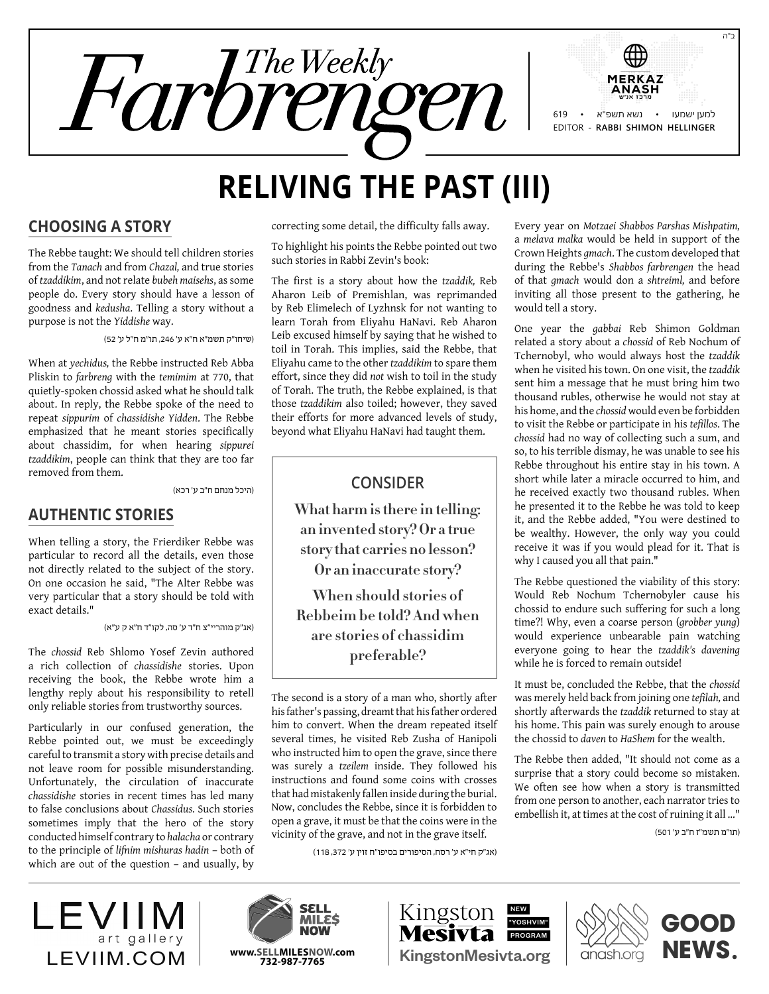

# **Reliving the Past (III)**

#### **Choosing a Story**

The Rebbe taught: We should tell children stories from the *Tanach* and from *Chazal,* and true stories of *tzaddikim*, and not relate *bubeh maisehs*, as some people do. Every story should have a lesson of goodness and *kedusha*. Telling a story without a purpose is not the *Yiddishe* way.

)שיחו"ק תשמ"א ח"א ע' ,246 תו"מ ח"ל ע' 52(

When at *yechidus,* the Rebbe instructed Reb Abba Pliskin to *farbreng* with the *temimim* at 770, that quietly-spoken chossid asked what he should talk about. In reply, the Rebbe spoke of the need to repeat *sippurim* of *chassidishe Yidden*. The Rebbe emphasized that he meant stories specifically about chassidim, for when hearing *sippurei tzaddikim*, people can think that they are too far removed from them.

)היכל מנחם ח"ב ע' רכא(

#### **Authentic Stories**

When telling a story, the Frierdiker Rebbe was particular to record all the details, even those not directly related to the subject of the story. On one occasion he said, "The Alter Rebbe was very particular that a story should be told with exact details."

)אג"ק מוהריי"צ ח"ד ע' סה, לקו"ד ח"א ק ע"א(

The *chossid* Reb Shlomo Yosef Zevin authored a rich collection of *chassidishe* stories. Upon receiving the book, the Rebbe wrote him a lengthy reply about his responsibility to retell only reliable stories from trustworthy sources.

Particularly in our confused generation, the Rebbe pointed out, we must be exceedingly careful to transmit a story with precise details and not leave room for possible misunderstanding. Unfortunately, the circulation of inaccurate *chassidishe* stories in recent times has led many to false conclusions about *Chassidus.* Such stories sometimes imply that the hero of the story conducted himself contrary to *halacha* or contrary to the principle of *lifnim mishuras hadin* – both of which are out of the question – and usually, by

correcting some detail, the difficulty falls away.

To highlight his points the Rebbe pointed out two such stories in Rabbi Zevin's book:

The first is a story about how the *tzaddik,* Reb Aharon Leib of Premishlan, was reprimanded by Reb Elimelech of Lyzhnsk for not wanting to learn Torah from Eliyahu HaNavi. Reb Aharon Leib excused himself by saying that he wished to toil in Torah. This implies, said the Rebbe, that Eliyahu came to the other *tzaddikim* to spare them effort, since they did *not* wish to toil in the study of Torah. The truth, the Rebbe explained, is that those *tzaddikim* also toiled; however, they saved their efforts for more advanced levels of study, beyond what Eliyahu HaNavi had taught them.

#### **Consider**

**What harm is there in telling: an invented story? Or a true story that carries no lesson?** 

**Or an inaccurate story?**

**When should stories of Rebbeim be told? And when are stories of chassidim preferable?**

The second is a story of a man who, shortly after his father's passing, dreamt that his father ordered him to convert. When the dream repeated itself several times, he visited Reb Zusha of Hanipoli who instructed him to open the grave, since there was surely a *tzeilem* inside. They followed his instructions and found some coins with crosses that had mistakenly fallen inside during the burial. Now, concludes the Rebbe, since it is forbidden to open a grave, it must be that the coins were in the vicinity of the grave, and not in the grave itself.

)אג"ק חי"א ע' רסח, הסיפורים בסיפו"ח זוין ע' ,372 118(

Every year on *Motzaei Shabbos Parshas Mishpatim,* a *melava malka* would be held in support of the Crown Heights *gmach*. The custom developed that during the Rebbe's *Shabbos farbrengen* the head of that *gmach* would don a *shtreiml,* and before inviting all those present to the gathering, he would tell a story.

One year the *gabbai* Reb Shimon Goldman related a story about a *chossid* of Reb Nochum of Tchernobyl, who would always host the *tzaddik* when he visited his town. On one visit, the *tzaddik* sent him a message that he must bring him two thousand rubles, otherwise he would not stay at his home, and the *chossid* would even be forbidden to visit the Rebbe or participate in his *tefillos*. The *chossid* had no way of collecting such a sum, and so, to his terrible dismay, he was unable to see his Rebbe throughout his entire stay in his town. A short while later a miracle occurred to him, and he received exactly two thousand rubles. When he presented it to the Rebbe he was told to keep it, and the Rebbe added, "You were destined to be wealthy. However, the only way you could receive it was if you would plead for it. That is why I caused you all that pain."

The Rebbe questioned the viability of this story: Would Reb Nochum Tchernobyler cause his chossid to endure such suffering for such a long time?! Why, even a coarse person (*grobber yung*) would experience unbearable pain watching everyone going to hear the *tzaddik's davening* while he is forced to remain outside!

It must be, concluded the Rebbe, that the *chossid* was merely held back from joining one *tefilah,* and shortly afterwards the *tzaddik* returned to stay at his home. This pain was surely enough to arouse the chossid to *daven* to *HaShem* for the wealth.

The Rebbe then added, "It should not come as a surprise that a story could become so mistaken. We often see how when a story is transmitted from one person to another, each narrator tries to embellish it, at times at the cost of ruining it all …"

)תו"מ תשמ"ז ח"ב ע' 501(